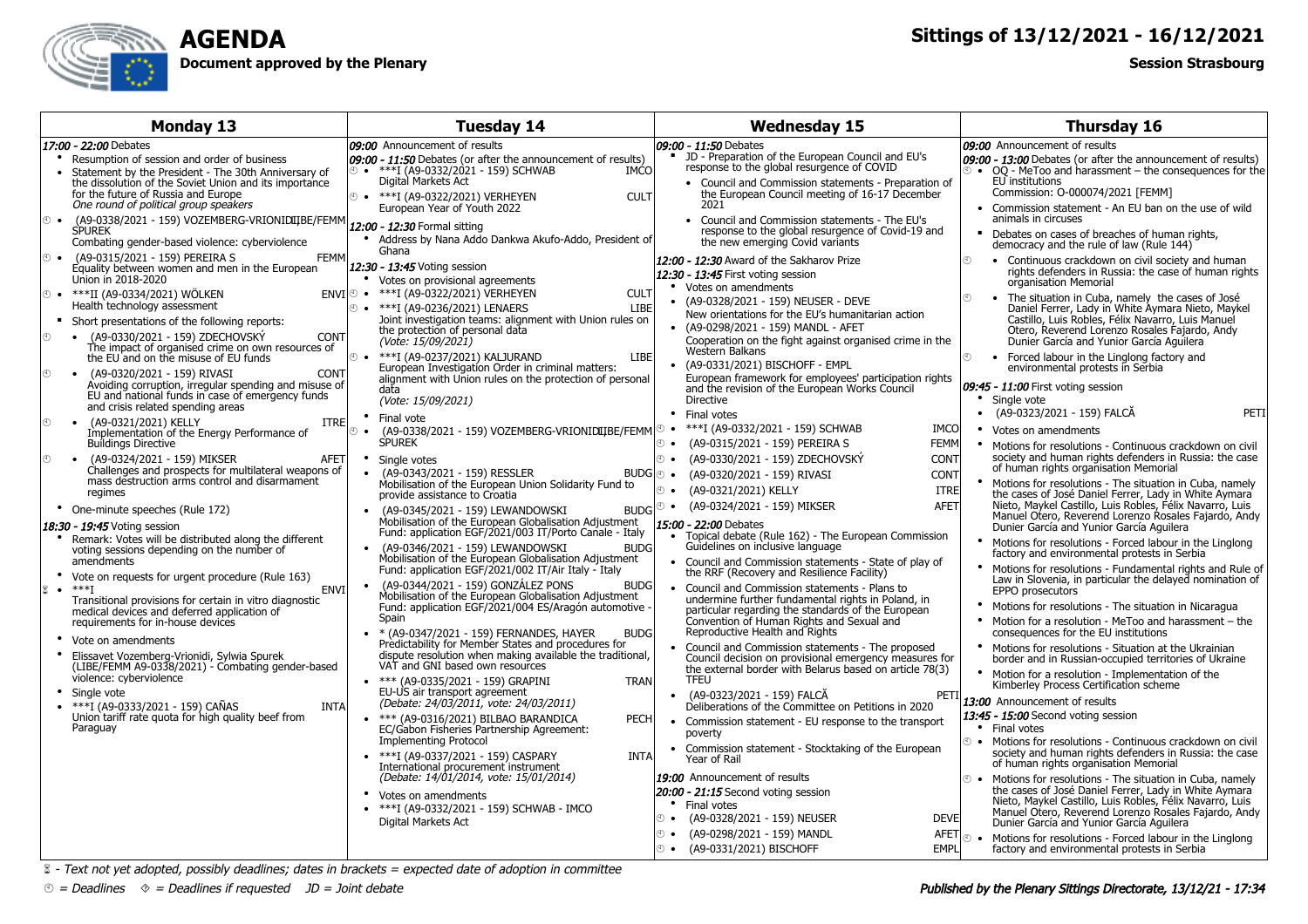

## **AGENDADocument approved by the Plenary**

## **Sittings of 13/12/2021 - 16/12/2021**

## **Session Strasbourg**

| <b>Monday 13</b>                                                                                                                                                                                                                                           | <b>Tuesday 14</b>                                                                                                                                                                                                                                                                                                                                      | <b>Wednesday 15</b>                                                                                                                                                                                                                                                                                                                                        | <b>Thursday 16</b>                                                                                                                                                                                                                                                                                                               |
|------------------------------------------------------------------------------------------------------------------------------------------------------------------------------------------------------------------------------------------------------------|--------------------------------------------------------------------------------------------------------------------------------------------------------------------------------------------------------------------------------------------------------------------------------------------------------------------------------------------------------|------------------------------------------------------------------------------------------------------------------------------------------------------------------------------------------------------------------------------------------------------------------------------------------------------------------------------------------------------------|----------------------------------------------------------------------------------------------------------------------------------------------------------------------------------------------------------------------------------------------------------------------------------------------------------------------------------|
| 17:00 - 22:00 Debates                                                                                                                                                                                                                                      | 09:00 Announcement of results                                                                                                                                                                                                                                                                                                                          | 09:00 - 11:50 Debates                                                                                                                                                                                                                                                                                                                                      | 09:00 Announcement of results                                                                                                                                                                                                                                                                                                    |
| Resumption of session and order of business<br>Statement by the President - The 30th Anniversary of<br>the dissolution of the Soviet Union and its importance<br>for the future of Russia and Europe<br>One round of political group speakers<br>$\odot$ . | 09:00 - 11:50 Debates (or after the announcement of results)<br>$\circ$ • ***I (A9-0332/2021 - 159) SCHWAB<br><b>IMCO</b><br>Digital Markets Act<br><sup>①</sup> • ***I (A9-0322/2021) VERHEYEN<br><b>CULT</b><br>European Year of Youth 2022                                                                                                          | • JD - Preparation of the European Council and EU's<br>response to the global resurgence of COVID<br>• Council and Commission statements - Preparation of<br>the European Council meeting of 16-17 December<br>2021<br>Council and Commission statements - The EU's<br>$\bullet$                                                                           | 09:00 - 13:00 Debates (or after the announcement of results)<br>$\degree$ • OQ - MeToo and harassment – the consequences for the<br>EU institutions<br>Commission: O-000074/2021 [FEMM]<br>• Commission statement - An EU ban on the use of wild<br>animals in circuses                                                          |
| (A9-0338/2021 - 159) VOZEMBERG-VRIONIDIIBE/FEMM 12:00 - 12:30 Formal sitting<br><b>SPUREK</b><br>Combating gender-based violence: cyberviolence<br><b>FEMM</b><br>(A9-0315/2021 - 159) PEREIRA S<br>$\odot$ $\bullet$                                      | Address by Nana Addo Dankwa Akufo-Addo, President of<br>Ghana                                                                                                                                                                                                                                                                                          | response to the global resurgence of Covid-19 and<br>the new emerging Covid variants                                                                                                                                                                                                                                                                       | • Debates on cases of breaches of human rights,<br>democracy and the rule of law (Rule 144)                                                                                                                                                                                                                                      |
| Equality between women and men in the European<br>Union in 2018-2020<br><sup>①</sup> • ***II (A9-0334/2021) WÖLKEN<br>Health technology assessment                                                                                                         | 12:30 - 13:45 Voting session<br>• Votes on provisional agreements<br>ENVI <sup>o</sup> • ***I (A9-0322/2021) VERHEYEN<br><b>CULT</b>                                                                                                                                                                                                                   | 12:00 - 12:30 Award of the Sakharov Prize<br>12:30 - 13:45 First voting session<br>Votes on amendments<br>(A9-0328/2021 - 159) NEUSER - DEVE                                                                                                                                                                                                               | Continuous crackdown on civil society and human<br>$\mathcal{F}$<br>rights defenders in Russia: the case of human rights<br>organisation Memorial<br>The situation in Cuba, namely the cases of José<br>$\mathcal{F}$<br>$\bullet$                                                                                               |
| Short presentations of the following reports:<br>(A9-0330/2021 - 159) ZDECHOVSKÝ<br><b>CONT</b><br>$\odot$<br>The impact of organised crime on own resources of                                                                                            | <sup>①</sup> • ***I (A9-0236/2021) LENAERS<br><b>LIBE</b><br>Joint investigation teams: alignment with Union rules on<br>the protection of personal data<br>(Vote: 15/09/2021)                                                                                                                                                                         | New orientations for the EU's humanitarian action<br>(A9-0298/2021 - 159) MANDL - AFET<br>$\bullet$<br>Cooperation on the fight against organised crime in the<br>Western Balkans                                                                                                                                                                          | Daniel Ferrer, Lady in White Aymara Nieto, Maykel<br>Castillo, Luis Robles, Félix Navarro, Luis Manuel<br>Otero, Reverend Lorenzo Rosales Fajardo, Andy<br>Dunier García and Yunior García Aguilera                                                                                                                              |
| the EU and on the misuse of EU funds<br>• (A9-0320/2021 - 159) RIVASI<br><b>CONT</b><br>$\odot$<br>Avoiding corruption, irregular spending and misuse of<br>EU and national funds in case of emergency funds<br>and crisis related spending areas          | <sup>①</sup> • ***I (A9-0237/2021) KALJURAND<br><b>LIBE</b><br>European Investigation Order in criminal matters:<br>alignment with Union rules on the protection of personal<br>data<br>(Vote: 15/09/2021)                                                                                                                                             | (A9-0331/2021) BISCHOFF - EMPL<br>$\bullet$<br>European framework for employees' participation rights<br>and the revision of the European Works Council<br>Directive                                                                                                                                                                                       | ⊕<br>• Forced labour in the Linglong factory and<br>environmental protests in Serbia<br>09:45 - 11:00 First voting session<br>Single vote                                                                                                                                                                                        |
| $\circledR$<br>(A9-0321/2021) KELLY<br><b>ITRE</b><br>$\bullet$<br>Implementation of the Energy Performance of                                                                                                                                             | • Final vote<br>(A9-0338/2021 - 159) VOZEMBERG-VRIONIDIIJBE/FEMM <sup>®</sup><br>ෙ ල                                                                                                                                                                                                                                                                   | Final votes<br>***I (A9-0332/2021 - 159) SCHWAB<br><b>IMCO</b>                                                                                                                                                                                                                                                                                             | (A9-0323/2021 - 159) FALCĂ<br>PETI<br>Votes on amendments<br>٠                                                                                                                                                                                                                                                                   |
| <b>Buildings Directive</b><br>• (A9-0324/2021 - 159) MIKSER<br>$^{\circ}$<br><b>AFET</b><br>Challenges and prospects for multilateral weapons of<br>mass destruction arms control and disarmament                                                          | <b>SPUREK</b><br>$\bullet$<br>Single votes<br>(A9-0343/2021 - 159) RESSLER<br>Mobilisation of the European Union Solidarity Fund to                                                                                                                                                                                                                    | <b>① ●</b> (A9-0315/2021 - 159) PEREIRA S<br><b>FEMM</b><br><b>① ●</b> (A9-0330/2021 - 159) ZDECHOVSKÝ<br><b>CONT</b><br>BUDG + (A9-0320/2021 - 159) RIVASI<br><b>CONT</b><br>(A9-0321/2021) KELLY<br>⊕ ⊕<br><b>ITRE</b>                                                                                                                                   | • Motions for resolutions - Continuous crackdown on civil<br>society and human rights defenders in Russia: the case<br>of human rights organisation Memorial<br>Motions for resolutions - The situation in Cuba, namely                                                                                                          |
| regimes<br>• One-minute speeches (Rule 172)<br>18:30 - 19:45 Voting session<br>Remark: Votes will be distributed along the different<br>voting sessions depending on the number of                                                                         | provide assistance to Croatia<br><b>BUDG</b><br>(A9-0345/2021 - 159) LEWANDOWSKI<br>Mobilisation of the European Globalisation Adjustment<br>Fund: application EGF/2021/003 IT/Porto Canale - Italy<br>(A9-0346/2021 - 159) LEWANDOWSKI<br><b>BUDG</b>                                                                                                 | <b>① ●</b> (A9-0324/2021 - 159) MIKSER<br><b>AFET</b><br>15:00 - 22:00 Debates<br>• Topical debate (Rule 162) - The European Commission<br>Guidelines on inclusive language                                                                                                                                                                                | the cases of José Daniel Ferrer, Lady in White Aymara<br>Nieto, Maykel Castillo, Luis Robles, Félix Navarro, Luis<br>Manuel Otero, Reverend Lorenzo Rosales Fajardo, Andy<br>Dunier García and Yunior García Aquilera<br>Motions for resolutions - Forced labour in the Linglong<br>factory and environmental protests in Serbia |
| amendments<br>• Vote on requests for urgent procedure (Rule 163)<br>$\mathbb{Z}$ . *** I<br><b>ENVI</b><br>Transitional provisions for certain in vitro diagnostic<br>medical devices and deferred application of<br>requirements for in-house devices     | Mobilisation of the European Globalisation Adjustment<br>Fund: application EGF/2021/002 IT/Air Italy - Italy<br>• (A9-0344/2021 - 159) GONZÁLEZ PONS<br><b>BUDG</b><br>Mobilisation of the European Globalisation Adjustment<br>Fund: application EGF/2021/004 ES/Aragón automotive<br>Spain<br>* (A9-0347/2021 - 159) FERNANDES, HAYER<br><b>BUDG</b> | Council and Commission statements - State of play of<br>the RRF (Recovery and Resilience Facility)<br>Council and Commission statements - Plans to<br>$\bullet$<br>undermine further fundamental rights in Poland, in<br>particular regarding the standards of the European<br>Convention of Human Rights and Sexual and<br>Reproductive Health and Rights | Motions for resolutions - Fundamental rights and Rule of<br>Law in Slovenia, in particular the delayed nomination of<br>EPPO prosecutors<br>• Motions for resolutions - The situation in Nicaragua<br>• Motion for a resolution - MeToo and harassment – the<br>consequences for the EU institutions                             |
| Vote on amendments<br>Elissavet Vozemberg-Vrionidi, Sylwia Spurek<br>(LIBE/FEMM A9-0338/2021) - Combating gender-based<br>violence: cyberviolence                                                                                                          | Predictability for Member States and procedures for<br>dispute resolution when making available the traditional,<br>VAT and GNI based own resources<br>• *** (A9-0335/2021 - 159) GRAPINI<br><b>TRAN</b>                                                                                                                                               | Council and Commission statements - The proposed<br>$\bullet$<br>Council decision on provisional emergency measures for<br>the external border with Belarus based on article 78(3)<br><b>TFEU</b>                                                                                                                                                          | • Motions for resolutions - Situation at the Ukrainian<br>border and in Russian-occupied territories of Ukraine<br>Motion for a resolution - Implementation of the                                                                                                                                                               |
| Single vote<br>• $***$ I (A9-0333/2021 - 159) CAÑAS<br><b>INTA</b><br>Union tariff rate quota for high quality beef from<br>Paraguay                                                                                                                       | EU-US air transport agreement<br>(Debate: 24/03/2011, vote: 24/03/2011)<br>• *** (A9-0316/2021) BILBAO BARANDICA<br><b>PECH</b><br>EC/Gabon Fisheries Partnership Agreement:                                                                                                                                                                           | (A9-0323/2021 - 159) FALCĂ<br>$\bullet$<br>PET.<br>Deliberations of the Committee on Petitions in 2020<br>Commission statement - EU response to the transport                                                                                                                                                                                              | Kimberley Process Certification scheme<br>13:00 Announcement of results<br>13:45 - 15:00 Second voting session<br>• Final votes                                                                                                                                                                                                  |
|                                                                                                                                                                                                                                                            | <b>Implementing Protocol</b><br>• *** I (A9-0337/2021 - 159) CASPARY<br><b>INTA</b><br>International procurement instrument                                                                                                                                                                                                                            | poverty<br>Commission statement - Stocktaking of the European<br>Year of Rail<br>19:00 Announcement of results                                                                                                                                                                                                                                             | <b>E</b> • Motions for resolutions - Continuous crackdown on civil<br>society and human rights defenders in Russia: the case<br>of human rights organisation Memorial                                                                                                                                                            |
|                                                                                                                                                                                                                                                            | (Debate: 14/01/2014, vote: 15/01/2014)<br>Votes on amendments<br>• ***I (A9-0332/2021 - 159) SCHWAB - IMCO<br>Digital Markets Act                                                                                                                                                                                                                      | 20:00 - 21:15 Second voting session<br>Final votes<br>⊙ •<br>(A9-0328/2021 - 159) NEUSER<br><b>DEVE</b>                                                                                                                                                                                                                                                    | $\bullet$<br>Motions for resolutions - The situation in Cuba, namely<br>the cases of José Daniel Ferrer, Lady in White Aymara<br>Nieto, Maykel Castillo, Luis Robles, Félix Navarro, Luis<br>Manuel Otero, Reverend Lorenzo Rosales Fajardo, Andy<br>Dunier García and Yunior García Aquilera                                    |
|                                                                                                                                                                                                                                                            |                                                                                                                                                                                                                                                                                                                                                        | (A9-0298/2021 - 159) MANDL<br>⊕ ∙<br><b>AFET</b><br>© • (A9-0331/2021) BISCHOFF<br>EMPL                                                                                                                                                                                                                                                                    | Motions for resolutions - Forced labour in the Linglong<br>$\odot$ $\odot$<br>factory and environmental protests in Serbia                                                                                                                                                                                                       |

 $\&$  - Text not yet adopted, possibly deadlines; dates in brackets = expected date of adoption in committee